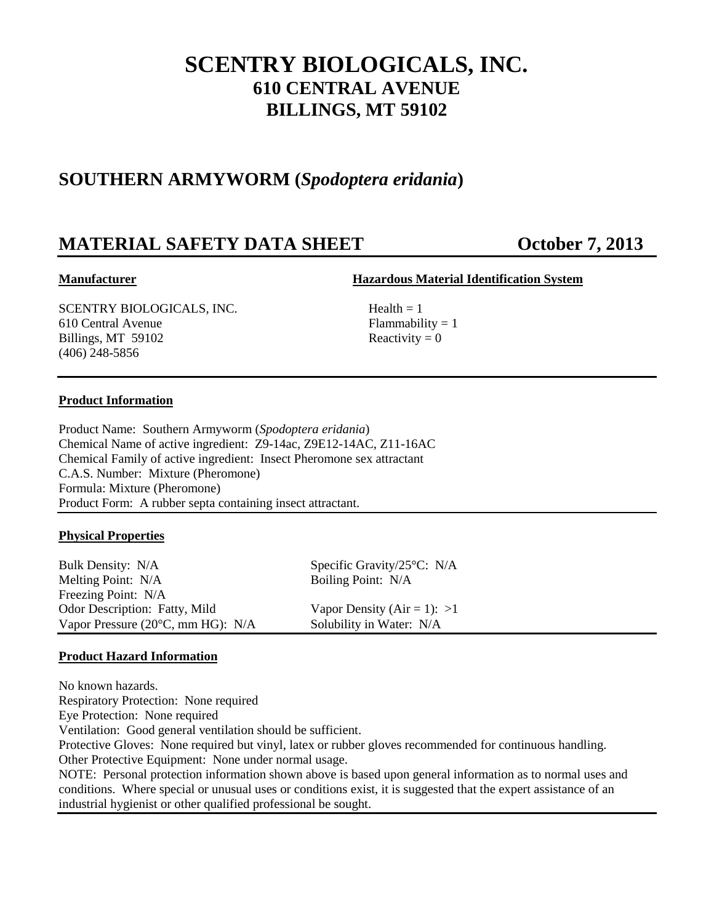# **SCENTRY BIOLOGICALS, INC. 610 CENTRAL AVENUE BILLINGS, MT 59102**

# **SOUTHERN ARMYWORM (***Spodoptera eridania***)**

# **MATERIAL SAFETY DATA SHEET CORPORATION October 7, 2013**

# **Manufacturer Hazardous Material Identification System**

 $SCENTRY BIOLOGICALS, INC.$  Health = 1 610 Central Avenue Flammability = 1 Billings, MT 59102 Reactivity = 0 (406) 248-5856

# **Product Information**

Product Name: Southern Armyworm (*Spodoptera eridania*) Chemical Name of active ingredient: Z9-14ac, Z9E12-14AC, Z11-16AC Chemical Family of active ingredient: Insect Pheromone sex attractant C.A.S. Number: Mixture (Pheromone) Formula: Mixture (Pheromone) Product Form: A rubber septa containing insect attractant.

# **Physical Properties**

Bulk Density: N/A Specific Gravity/25°C: N/A Melting Point: N/A Boiling Point: N/A Freezing Point: N/A Odor Description: Fatty, Mild Vapor Density  $(Air = 1)$ : >1 Vapor Pressure (20°C, mm HG): N/A Solubility in Water: N/A

# **Product Hazard Information**

No known hazards. Respiratory Protection: None required Eye Protection: None required Ventilation: Good general ventilation should be sufficient. Protective Gloves: None required but vinyl, latex or rubber gloves recommended for continuous handling. Other Protective Equipment: None under normal usage. NOTE: Personal protection information shown above is based upon general information as to normal uses and conditions. Where special or unusual uses or conditions exist, it is suggested that the expert assistance of an industrial hygienist or other qualified professional be sought.